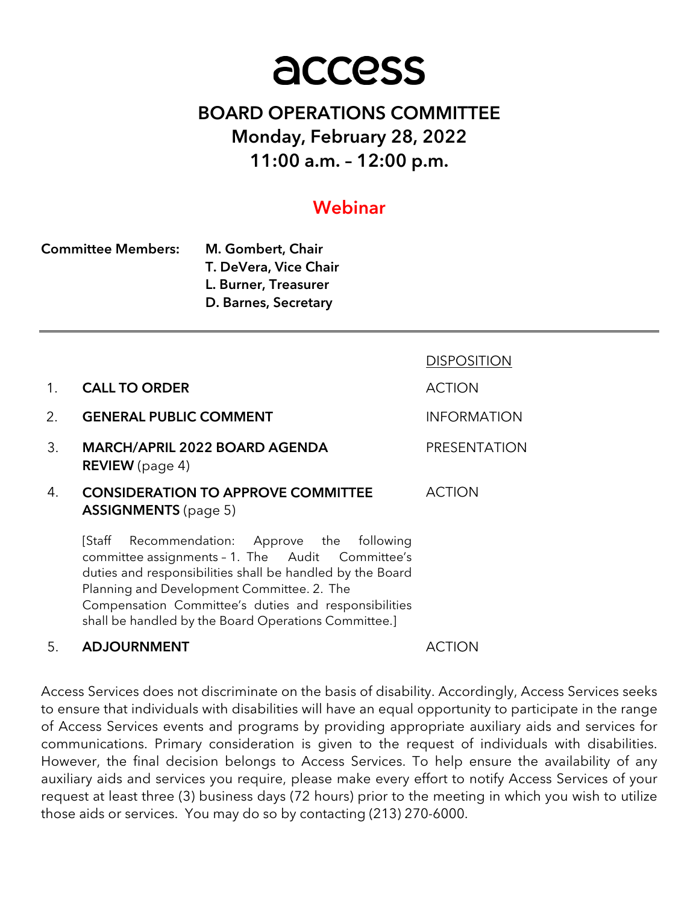# access

# BOARD OPERATIONS COMMITTEE Monday, February 28, 2022 11:00 a.m. – 12:00 p.m.

# Webinar

| <b>Committee Members:</b> | M. Gombert, Chair     |
|---------------------------|-----------------------|
|                           | T. DeVera, Vice Chair |
|                           | L. Burner, Treasurer  |
|                           | D. Barnes, Secretary  |

|    |                                                                                                                                                                                                                                                                        | <b>DISPOSITION</b>  |
|----|------------------------------------------------------------------------------------------------------------------------------------------------------------------------------------------------------------------------------------------------------------------------|---------------------|
| 1. | <b>CALL TO ORDER</b>                                                                                                                                                                                                                                                   | <b>ACTION</b>       |
| 2. | <b>GENERAL PUBLIC COMMENT</b>                                                                                                                                                                                                                                          | <b>INFORMATION</b>  |
| 3. | <b>MARCH/APRIL 2022 BOARD AGENDA</b><br><b>REVIEW</b> (page 4)                                                                                                                                                                                                         | <b>PRESENTATION</b> |
| 4. | <b>CONSIDERATION TO APPROVE COMMITTEE</b><br><b>ASSIGNMENTS</b> (page 5)                                                                                                                                                                                               | <b>ACTION</b>       |
|    | Recommendation: Approve the following<br>[Staff<br>committee assignments - 1. The Audit Committee's<br>duties and responsibilities shall be handled by the Board<br>Planning and Development Committee. 2. The<br>Compensation Committee's duties and responsibilities |                     |

shall be handled by the Board Operations Committee.]

# 5. ADJOURNMENT ACTION

Access Services does not discriminate on the basis of disability. Accordingly, Access Services seeks to ensure that individuals with disabilities will have an equal opportunity to participate in the range of Access Services events and programs by providing appropriate auxiliary aids and services for communications. Primary consideration is given to the request of individuals with disabilities. However, the final decision belongs to Access Services. To help ensure the availability of any auxiliary aids and services you require, please make every effort to notify Access Services of your request at least three (3) business days (72 hours) prior to the meeting in which you wish to utilize those aids or services. You may do so by contacting (213) 270-6000.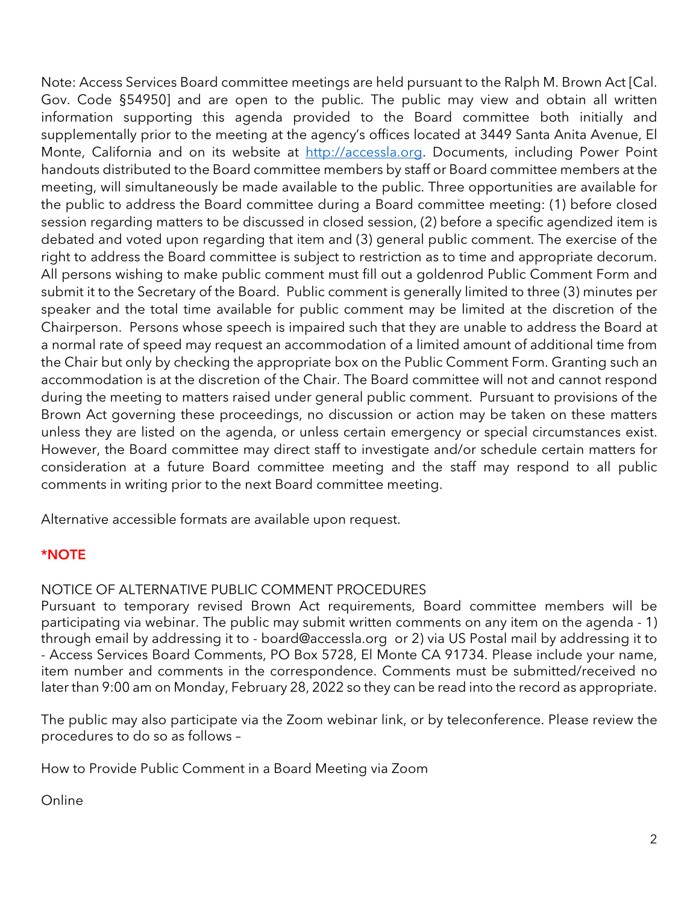Note: Access Services Board committee meetings are held pursuant to the Ralph M. Brown Act [Cal. Gov. Code §54950] and are open to the public. The public may view and obtain all written information supporting this agenda provided to the Board committee both initially and supplementally prior to the meeting at the agency's offices located at 3449 Santa Anita Avenue, El Monte, California and on its website at http://accessla.org. Documents, including Power Point handouts distributed to the Board committee members by staff or Board committee members at the meeting, will simultaneously be made available to the public. Three opportunities are available for the public to address the Board committee during a Board committee meeting: (1) before closed session regarding matters to be discussed in closed session, (2) before a specific agendized item is debated and voted upon regarding that item and (3) general public comment. The exercise of the right to address the Board committee is subject to restriction as to time and appropriate decorum. All persons wishing to make public comment must fill out a goldenrod Public Comment Form and submit it to the Secretary of the Board. Public comment is generally limited to three (3) minutes per speaker and the total time available for public comment may be limited at the discretion of the Chairperson. Persons whose speech is impaired such that they are unable to address the Board at a normal rate of speed may request an accommodation of a limited amount of additional time from the Chair but only by checking the appropriate box on the Public Comment Form. Granting such an accommodation is at the discretion of the Chair. The Board committee will not and cannot respond during the meeting to matters raised under general public comment. Pursuant to provisions of the Brown Act governing these proceedings, no discussion or action may be taken on these matters unless they are listed on the agenda, or unless certain emergency or special circumstances exist. However, the Board committee may direct staff to investigate and/or schedule certain matters for consideration at a future Board committee meeting and the staff may respond to all public comments in writing prior to the next Board committee meeting.

Alternative accessible formats are available upon request.

# \*NOTE

#### NOTICE OF ALTERNATIVE PUBLIC COMMENT PROCEDURES

Pursuant to temporary revised Brown Act requirements, Board committee members will be participating via webinar. The public may submit written comments on any item on the agenda - 1) through email by addressing it to - board@accessla.org or 2) via US Postal mail by addressing it to - Access Services Board Comments, PO Box 5728, El Monte CA 91734. Please include your name, item number and comments in the correspondence. Comments must be submitted/received no later than 9:00 am on Monday, February 28, 2022 so they can be read into the record as appropriate.

The public may also participate via the Zoom webinar link, or by teleconference. Please review the procedures to do so as follows –

How to Provide Public Comment in a Board Meeting via Zoom

Online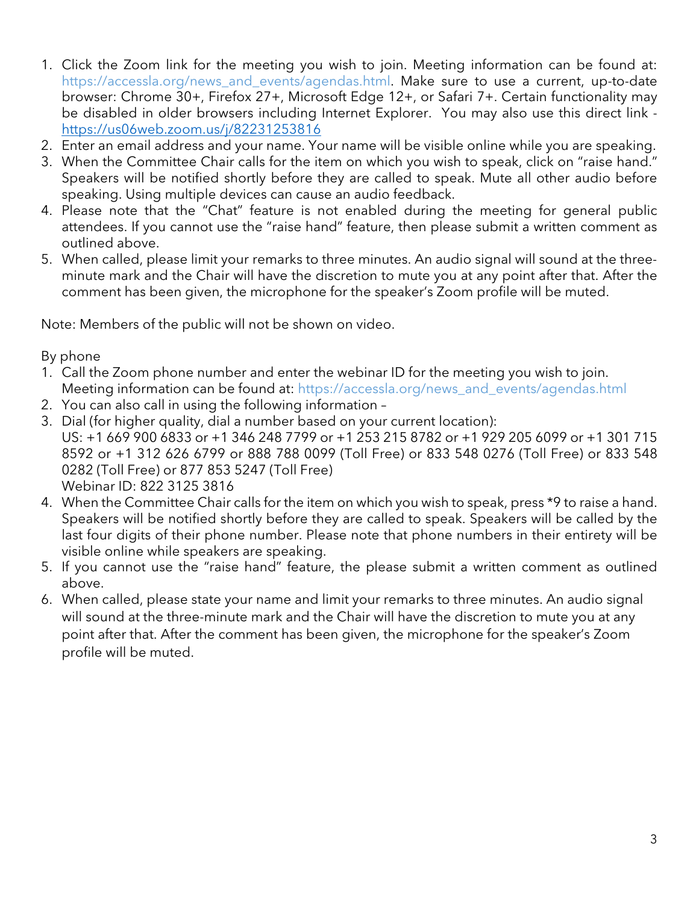- 1. Click the Zoom link for the meeting you wish to join. Meeting information can be found at: https://accessla.org/news\_and\_events/agendas.html. Make sure to use a current, up-to-date browser: Chrome 30+, Firefox 27+, Microsoft Edge 12+, or Safari 7+. Certain functionality may be disabled in older browsers including Internet Explorer. You may also use this direct link https://us06web.zoom.us/j/82231253816
- 2. Enter an email address and your name. Your name will be visible online while you are speaking.
- 3. When the Committee Chair calls for the item on which you wish to speak, click on "raise hand." Speakers will be notified shortly before they are called to speak. Mute all other audio before speaking. Using multiple devices can cause an audio feedback.
- 4. Please note that the "Chat" feature is not enabled during the meeting for general public attendees. If you cannot use the "raise hand" feature, then please submit a written comment as outlined above.
- 5. When called, please limit your remarks to three minutes. An audio signal will sound at the threeminute mark and the Chair will have the discretion to mute you at any point after that. After the comment has been given, the microphone for the speaker's Zoom profile will be muted.

Note: Members of the public will not be shown on video.

By phone

- 1. Call the Zoom phone number and enter the webinar ID for the meeting you wish to join. Meeting information can be found at: https://accessla.org/news\_and\_events/agendas.html
- 2. You can also call in using the following information –
- 3. Dial (for higher quality, dial a number based on your current location): US: +1 669 900 6833 or +1 346 248 7799 or +1 253 215 8782 or +1 929 205 6099 or +1 301 715 8592 or +1 312 626 6799 or 888 788 0099 (Toll Free) or 833 548 0276 (Toll Free) or 833 548 0282 (Toll Free) or 877 853 5247 (Toll Free) Webinar ID: 822 3125 3816
- 4. When the Committee Chair calls for the item on which you wish to speak, press \*9 to raise a hand. Speakers will be notified shortly before they are called to speak. Speakers will be called by the last four digits of their phone number. Please note that phone numbers in their entirety will be visible online while speakers are speaking.
- 5. If you cannot use the "raise hand" feature, the please submit a written comment as outlined above.
- 6. When called, please state your name and limit your remarks to three minutes. An audio signal will sound at the three-minute mark and the Chair will have the discretion to mute you at any point after that. After the comment has been given, the microphone for the speaker's Zoom profile will be muted.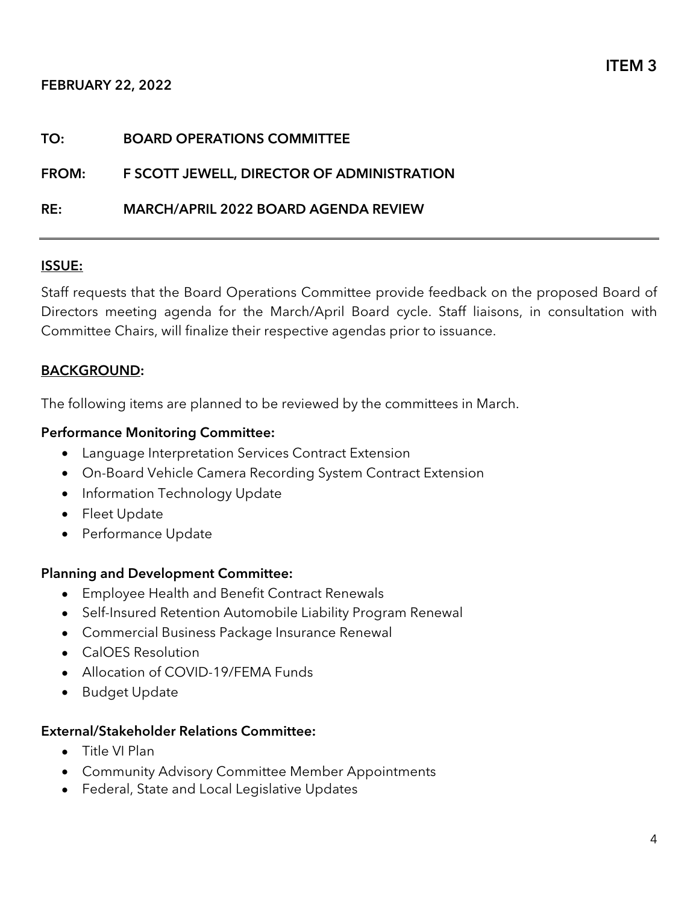#### FEBRUARY 22, 2022

# TO: BOARD OPERATIONS COMMITTEE FROM: F SCOTT JEWELL, DIRECTOR OF ADMINISTRATION RE: MARCH/APRIL 2022 BOARD AGENDA REVIEW

# ISSUE:

Staff requests that the Board Operations Committee provide feedback on the proposed Board of Directors meeting agenda for the March/April Board cycle. Staff liaisons, in consultation with Committee Chairs, will finalize their respective agendas prior to issuance.

# BACKGROUND:

The following items are planned to be reviewed by the committees in March.

# Performance Monitoring Committee:

- Language Interpretation Services Contract Extension
- On-Board Vehicle Camera Recording System Contract Extension
- Information Technology Update
- Fleet Update
- Performance Update

# Planning and Development Committee:

- Employee Health and Benefit Contract Renewals
- Self-Insured Retention Automobile Liability Program Renewal
- Commercial Business Package Insurance Renewal
- CalOES Resolution
- Allocation of COVID-19/FEMA Funds
- Budget Update

# External/Stakeholder Relations Committee:

- Title VI Plan
- Community Advisory Committee Member Appointments
- Federal, State and Local Legislative Updates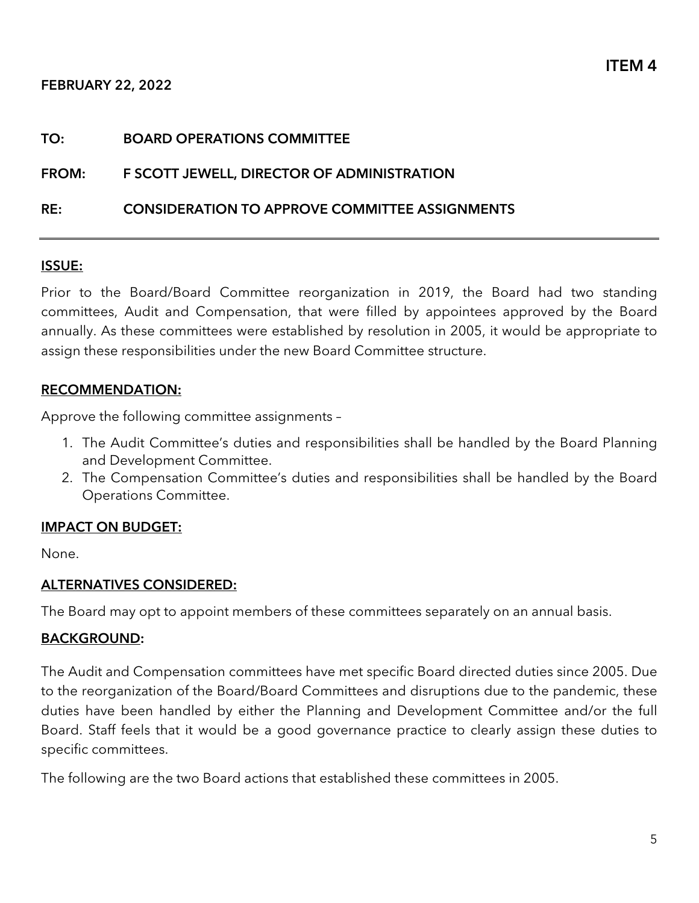#### TO: BOARD OPERATIONS COMMITTEE

#### FROM: F SCOTT JEWELL, DIRECTOR OF ADMINISTRATION

#### RE: CONSIDERATION TO APPROVE COMMITTEE ASSIGNMENTS

#### ISSUE:

Prior to the Board/Board Committee reorganization in 2019, the Board had two standing committees, Audit and Compensation, that were filled by appointees approved by the Board annually. As these committees were established by resolution in 2005, it would be appropriate to assign these responsibilities under the new Board Committee structure.

#### RECOMMENDATION:

Approve the following committee assignments –

- 1. The Audit Committee's duties and responsibilities shall be handled by the Board Planning and Development Committee.
- 2. The Compensation Committee's duties and responsibilities shall be handled by the Board Operations Committee.

#### IMPACT ON BUDGET:

None.

#### ALTERNATIVES CONSIDERED:

The Board may opt to appoint members of these committees separately on an annual basis.

#### BACKGROUND:

The Audit and Compensation committees have met specific Board directed duties since 2005. Due to the reorganization of the Board/Board Committees and disruptions due to the pandemic, these duties have been handled by either the Planning and Development Committee and/or the full Board. Staff feels that it would be a good governance practice to clearly assign these duties to specific committees.

The following are the two Board actions that established these committees in 2005.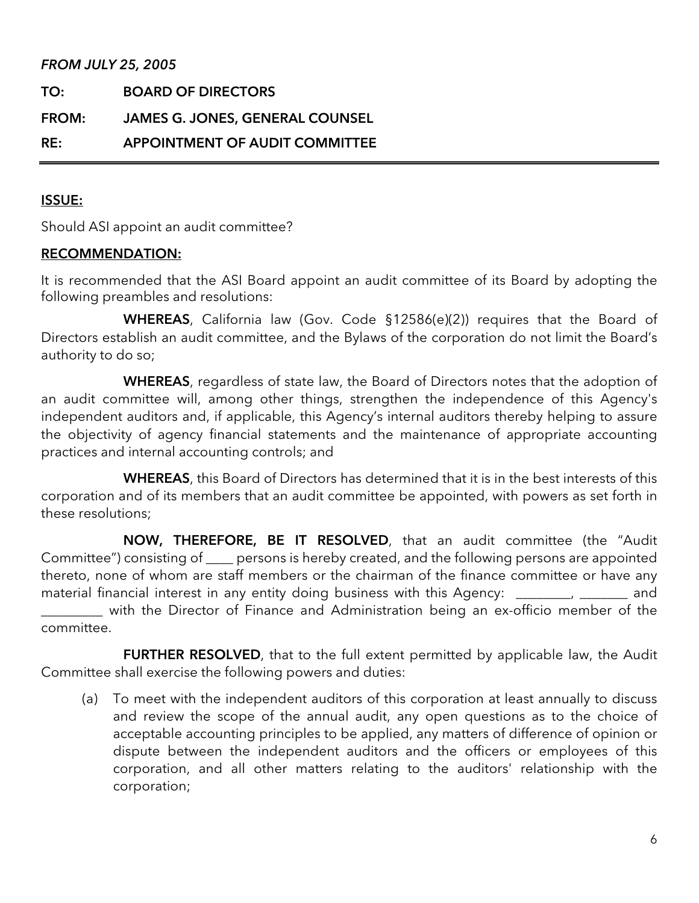#### FROM JULY 25, 2005

| TO:          | <b>BOARD OF DIRECTORS</b>              |
|--------------|----------------------------------------|
| <b>FROM:</b> | <b>JAMES G. JONES, GENERAL COUNSEL</b> |
| RE:          | APPOINTMENT OF AUDIT COMMITTEE         |

#### ISSUE:

Should ASI appoint an audit committee?

#### RECOMMENDATION:

It is recommended that the ASI Board appoint an audit committee of its Board by adopting the following preambles and resolutions:

WHEREAS, California law (Gov. Code §12586(e)(2)) requires that the Board of Directors establish an audit committee, and the Bylaws of the corporation do not limit the Board's authority to do so;

WHEREAS, regardless of state law, the Board of Directors notes that the adoption of an audit committee will, among other things, strengthen the independence of this Agency's independent auditors and, if applicable, this Agency's internal auditors thereby helping to assure the objectivity of agency financial statements and the maintenance of appropriate accounting practices and internal accounting controls; and

WHEREAS, this Board of Directors has determined that it is in the best interests of this corporation and of its members that an audit committee be appointed, with powers as set forth in these resolutions;

NOW, THEREFORE, BE IT RESOLVED, that an audit committee (the "Audit Committee") consisting of \_\_\_\_ persons is hereby created, and the following persons are appointed thereto, none of whom are staff members or the chairman of the finance committee or have any material financial interest in any entity doing business with this Agency: \_\_\_\_\_\_, \_\_\_\_\_\_ and \_\_\_\_\_\_\_\_\_ with the Director of Finance and Administration being an ex-officio member of the

committee.

FURTHER RESOLVED, that to the full extent permitted by applicable law, the Audit Committee shall exercise the following powers and duties:

(a) To meet with the independent auditors of this corporation at least annually to discuss and review the scope of the annual audit, any open questions as to the choice of acceptable accounting principles to be applied, any matters of difference of opinion or dispute between the independent auditors and the officers or employees of this corporation, and all other matters relating to the auditors' relationship with the corporation;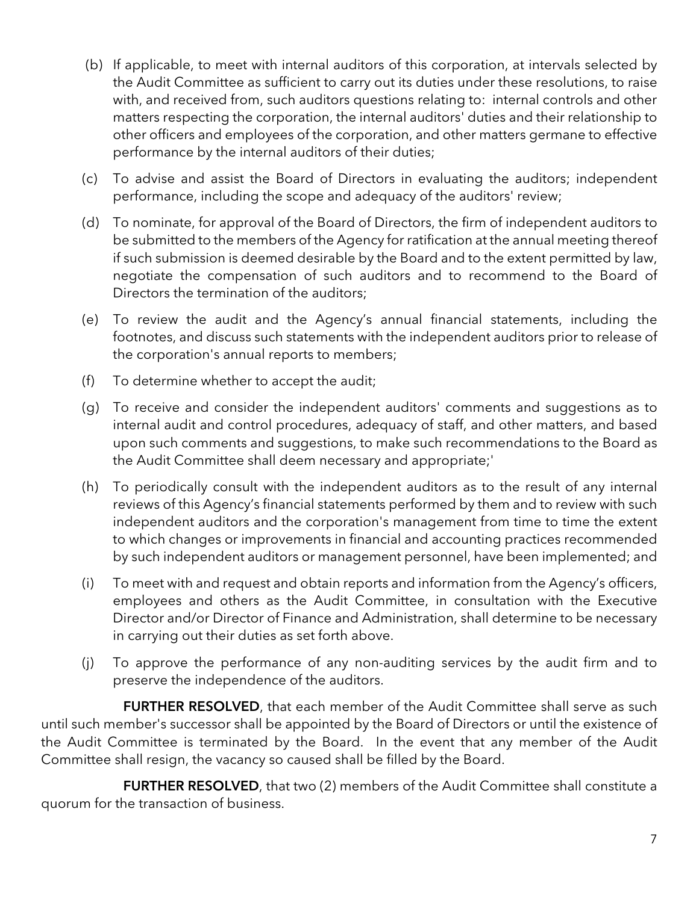- (b) If applicable, to meet with internal auditors of this corporation, at intervals selected by the Audit Committee as sufficient to carry out its duties under these resolutions, to raise with, and received from, such auditors questions relating to: internal controls and other matters respecting the corporation, the internal auditors' duties and their relationship to other officers and employees of the corporation, and other matters germane to effective performance by the internal auditors of their duties;
- (c) To advise and assist the Board of Directors in evaluating the auditors; independent performance, including the scope and adequacy of the auditors' review;
- (d) To nominate, for approval of the Board of Directors, the firm of independent auditors to be submitted to the members of the Agency for ratification at the annual meeting thereof if such submission is deemed desirable by the Board and to the extent permitted by law, negotiate the compensation of such auditors and to recommend to the Board of Directors the termination of the auditors;
- (e) To review the audit and the Agency's annual financial statements, including the footnotes, and discuss such statements with the independent auditors prior to release of the corporation's annual reports to members;
- (f) To determine whether to accept the audit;
- (g) To receive and consider the independent auditors' comments and suggestions as to internal audit and control procedures, adequacy of staff, and other matters, and based upon such comments and suggestions, to make such recommendations to the Board as the Audit Committee shall deem necessary and appropriate;'
- (h) To periodically consult with the independent auditors as to the result of any internal reviews of this Agency's financial statements performed by them and to review with such independent auditors and the corporation's management from time to time the extent to which changes or improvements in financial and accounting practices recommended by such independent auditors or management personnel, have been implemented; and
- (i) To meet with and request and obtain reports and information from the Agency's officers, employees and others as the Audit Committee, in consultation with the Executive Director and/or Director of Finance and Administration, shall determine to be necessary in carrying out their duties as set forth above.
- (j) To approve the performance of any non-auditing services by the audit firm and to preserve the independence of the auditors.

FURTHER RESOLVED, that each member of the Audit Committee shall serve as such until such member's successor shall be appointed by the Board of Directors or until the existence of the Audit Committee is terminated by the Board. In the event that any member of the Audit Committee shall resign, the vacancy so caused shall be filled by the Board.

FURTHER RESOLVED, that two (2) members of the Audit Committee shall constitute a quorum for the transaction of business.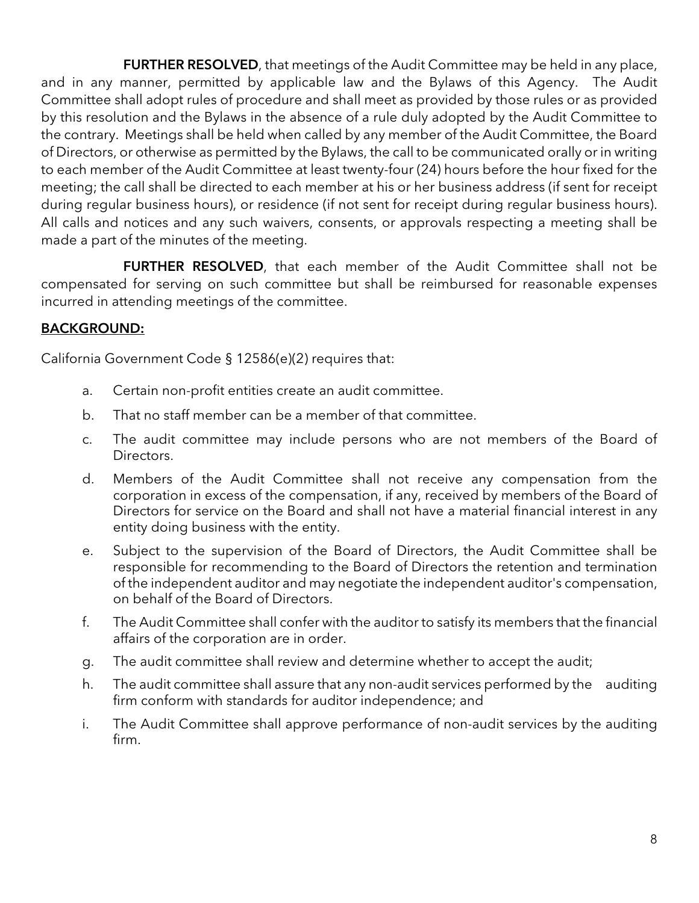FURTHER RESOLVED, that meetings of the Audit Committee may be held in any place, and in any manner, permitted by applicable law and the Bylaws of this Agency. The Audit Committee shall adopt rules of procedure and shall meet as provided by those rules or as provided by this resolution and the Bylaws in the absence of a rule duly adopted by the Audit Committee to the contrary. Meetings shall be held when called by any member of the Audit Committee, the Board of Directors, or otherwise as permitted by the Bylaws, the call to be communicated orally or in writing to each member of the Audit Committee at least twenty-four (24) hours before the hour fixed for the meeting; the call shall be directed to each member at his or her business address (if sent for receipt during regular business hours), or residence (if not sent for receipt during regular business hours). All calls and notices and any such waivers, consents, or approvals respecting a meeting shall be made a part of the minutes of the meeting.

FURTHER RESOLVED, that each member of the Audit Committee shall not be compensated for serving on such committee but shall be reimbursed for reasonable expenses incurred in attending meetings of the committee.

# BACKGROUND:

California Government Code § 12586(e)(2) requires that:

- a. Certain non-profit entities create an audit committee.
- b. That no staff member can be a member of that committee.
- c. The audit committee may include persons who are not members of the Board of Directors.
- d. Members of the Audit Committee shall not receive any compensation from the corporation in excess of the compensation, if any, received by members of the Board of Directors for service on the Board and shall not have a material financial interest in any entity doing business with the entity.
- e. Subject to the supervision of the Board of Directors, the Audit Committee shall be responsible for recommending to the Board of Directors the retention and termination of the independent auditor and may negotiate the independent auditor's compensation, on behalf of the Board of Directors.
- f. The Audit Committee shall confer with the auditor to satisfy its members that the financial affairs of the corporation are in order.
- g. The audit committee shall review and determine whether to accept the audit;
- h. The audit committee shall assure that any non-audit services performed by the auditing firm conform with standards for auditor independence; and
- i. The Audit Committee shall approve performance of non-audit services by the auditing firm.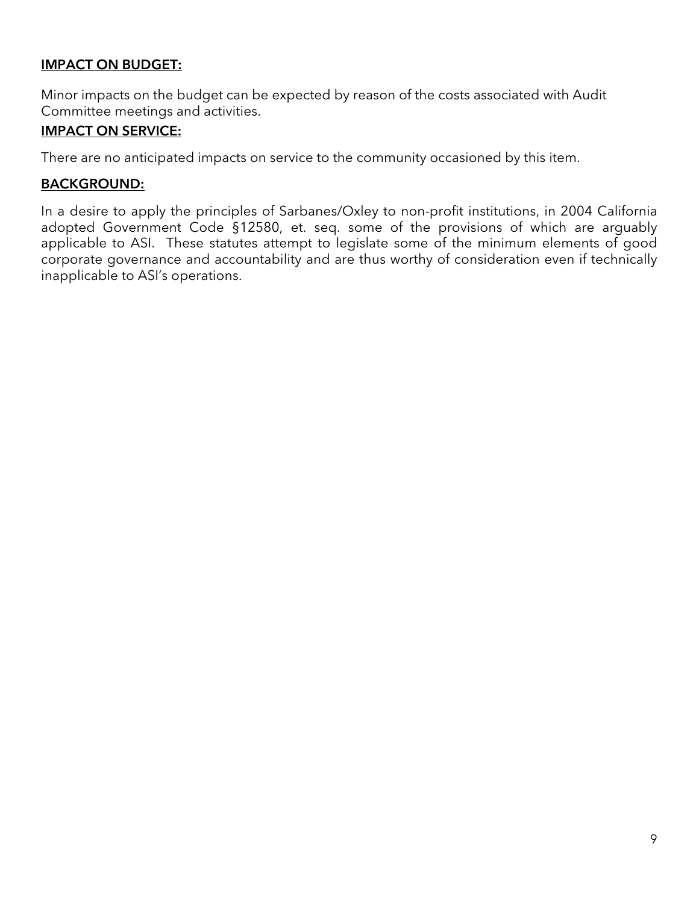# IMPACT ON BUDGET:

Minor impacts on the budget can be expected by reason of the costs associated with Audit Committee meetings and activities.

### IMPACT ON SERVICE:

There are no anticipated impacts on service to the community occasioned by this item.

#### BACKGROUND:

In a desire to apply the principles of Sarbanes/Oxley to non-profit institutions, in 2004 California adopted Government Code §12580, et. seq. some of the provisions of which are arguably applicable to ASI. These statutes attempt to legislate some of the minimum elements of good corporate governance and accountability and are thus worthy of consideration even if technically inapplicable to ASI's operations.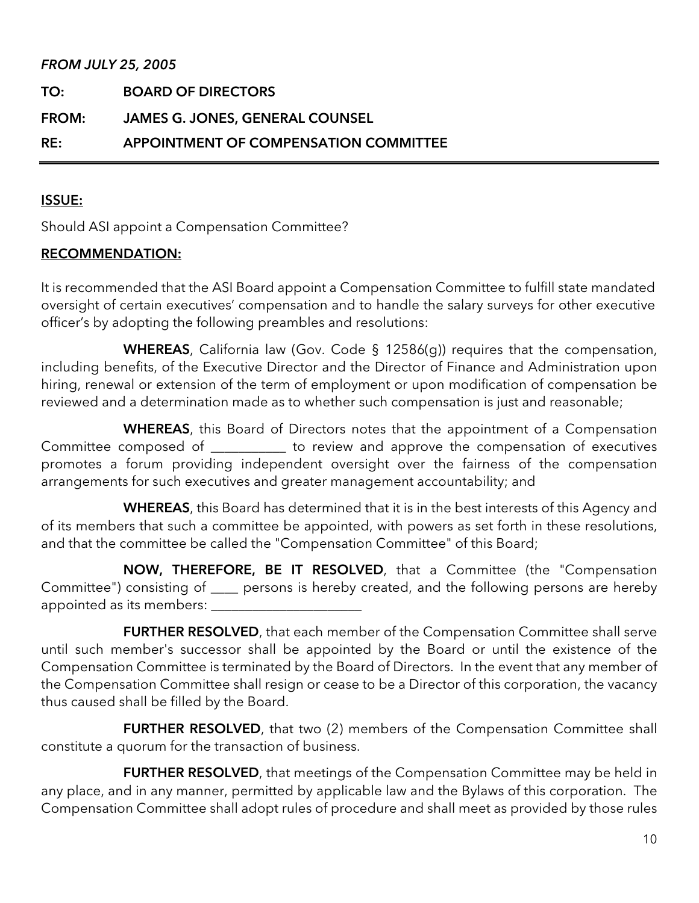#### FROM JULY 25, 2005

| TO:   | <b>BOARD OF DIRECTORS</b>              |
|-------|----------------------------------------|
| FROM: | <b>JAMES G. JONES, GENERAL COUNSEL</b> |
| RE:   | APPOINTMENT OF COMPENSATION COMMITTEE  |

#### ISSUE:

Should ASI appoint a Compensation Committee?

#### RECOMMENDATION:

It is recommended that the ASI Board appoint a Compensation Committee to fulfill state mandated oversight of certain executives' compensation and to handle the salary surveys for other executive officer's by adopting the following preambles and resolutions:

WHEREAS, California law (Gov. Code § 12586(g)) requires that the compensation, including benefits, of the Executive Director and the Director of Finance and Administration upon hiring, renewal or extension of the term of employment or upon modification of compensation be reviewed and a determination made as to whether such compensation is just and reasonable;

WHEREAS, this Board of Directors notes that the appointment of a Compensation Committee composed of \_\_\_\_\_\_\_\_\_\_\_ to review and approve the compensation of executives promotes a forum providing independent oversight over the fairness of the compensation arrangements for such executives and greater management accountability; and

WHEREAS, this Board has determined that it is in the best interests of this Agency and of its members that such a committee be appointed, with powers as set forth in these resolutions, and that the committee be called the "Compensation Committee" of this Board;

NOW, THEREFORE, BE IT RESOLVED, that a Committee (the "Compensation Committee") consisting of \_\_\_\_ persons is hereby created, and the following persons are hereby appointed as its members: \_\_\_\_\_\_\_\_\_\_\_\_\_\_\_\_\_\_\_\_\_\_

FURTHER RESOLVED, that each member of the Compensation Committee shall serve until such member's successor shall be appointed by the Board or until the existence of the Compensation Committee is terminated by the Board of Directors. In the event that any member of the Compensation Committee shall resign or cease to be a Director of this corporation, the vacancy thus caused shall be filled by the Board.

FURTHER RESOLVED, that two (2) members of the Compensation Committee shall constitute a quorum for the transaction of business.

FURTHER RESOLVED, that meetings of the Compensation Committee may be held in any place, and in any manner, permitted by applicable law and the Bylaws of this corporation. The Compensation Committee shall adopt rules of procedure and shall meet as provided by those rules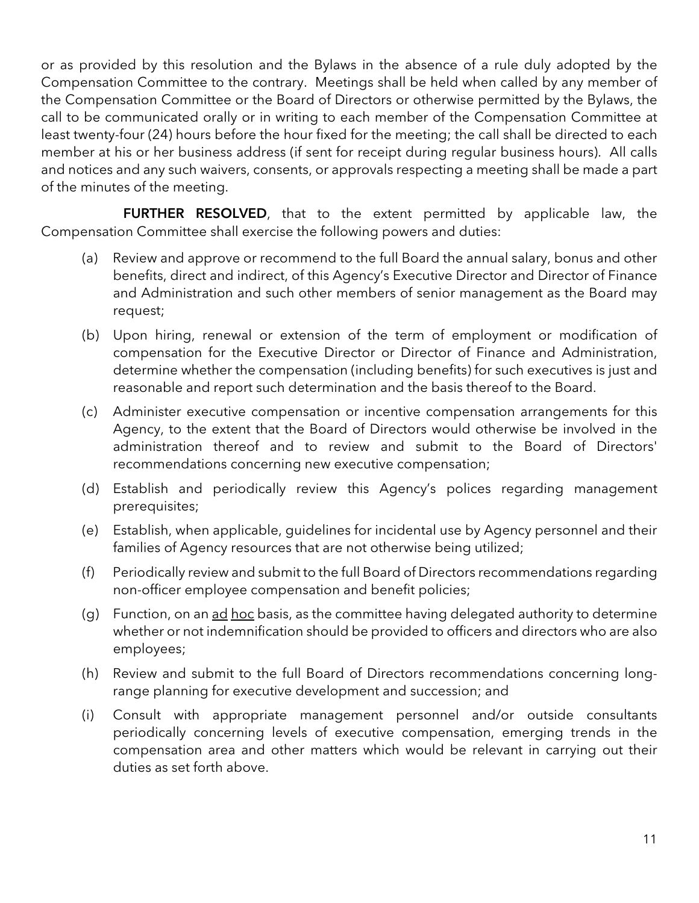or as provided by this resolution and the Bylaws in the absence of a rule duly adopted by the Compensation Committee to the contrary. Meetings shall be held when called by any member of the Compensation Committee or the Board of Directors or otherwise permitted by the Bylaws, the call to be communicated orally or in writing to each member of the Compensation Committee at least twenty-four (24) hours before the hour fixed for the meeting; the call shall be directed to each member at his or her business address (if sent for receipt during regular business hours). All calls and notices and any such waivers, consents, or approvals respecting a meeting shall be made a part of the minutes of the meeting.

FURTHER RESOLVED, that to the extent permitted by applicable law, the Compensation Committee shall exercise the following powers and duties:

- (a) Review and approve or recommend to the full Board the annual salary, bonus and other benefits, direct and indirect, of this Agency's Executive Director and Director of Finance and Administration and such other members of senior management as the Board may request;
- (b) Upon hiring, renewal or extension of the term of employment or modification of compensation for the Executive Director or Director of Finance and Administration, determine whether the compensation (including benefits) for such executives is just and reasonable and report such determination and the basis thereof to the Board.
- (c) Administer executive compensation or incentive compensation arrangements for this Agency, to the extent that the Board of Directors would otherwise be involved in the administration thereof and to review and submit to the Board of Directors' recommendations concerning new executive compensation;
- (d) Establish and periodically review this Agency's polices regarding management prerequisites;
- (e) Establish, when applicable, guidelines for incidental use by Agency personnel and their families of Agency resources that are not otherwise being utilized;
- (f) Periodically review and submit to the full Board of Directors recommendations regarding non-officer employee compensation and benefit policies;
- (g) Function, on an ad hoc basis, as the committee having delegated authority to determine whether or not indemnification should be provided to officers and directors who are also employees;
- (h) Review and submit to the full Board of Directors recommendations concerning longrange planning for executive development and succession; and
- (i) Consult with appropriate management personnel and/or outside consultants periodically concerning levels of executive compensation, emerging trends in the compensation area and other matters which would be relevant in carrying out their duties as set forth above.